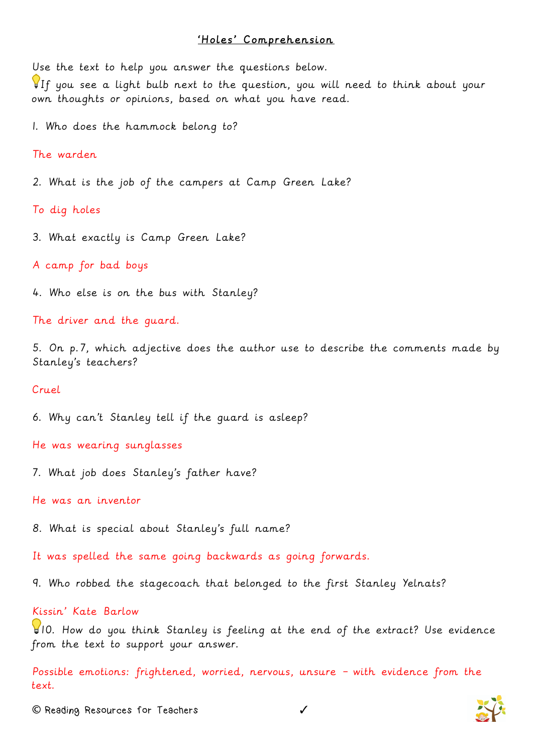## 'Holes' Comprehension

Use the text to help you answer the questions below.

If you see a light bulb next to the question, you will need to think about your own thoughts or opinions, based on what you have read.

1. Who does the hammock belong to?

The warden

2. What is the job of the campers at Camp Green Lake?

To dig holes

3. What exactly is Camp Green Lake?

A camp for bad boys

4. Who else is on the bus with Stanley?

The driver and the guard.

5. On p.7, which adjective does the author use to describe the comments made by Stanley's teachers?

## Cruel

6. Why can't Stanley tell if the guard is asleep?

He was wearing sunglasses

7. What job does Stanley's father have?

He was an inventor

8. What is special about Stanley's full name?

It was spelled the same going backwards as going forwards.

9. Who robbed the stagecoach that belonged to the first Stanley Yelnats?

## Kissin' Kate Barlow

10. How do you think Stanley is feeling at the end of the extract? Use evidence from the text to support your answer.

Possible emotions: frightened, worried, nervous, unsure – with evidence from the text.